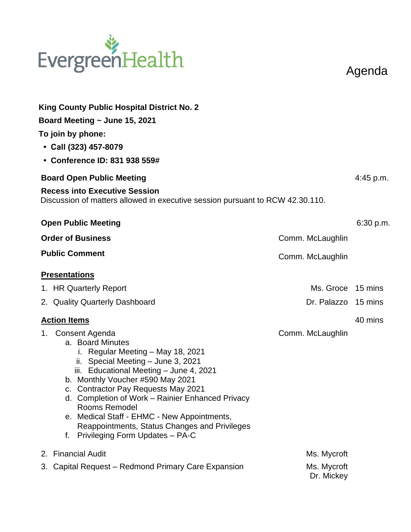## EvergreenHealth

Agenda

| King County Public Hospital District No. 2<br>Board Meeting ~ June 15, 2021<br>To join by phone:<br>• Call (323) 457-8079<br>• Conference ID: 831 938 559#                                                                                                                                                                                                                                                                                              |                           | 4:45 p.m. |  |  |
|---------------------------------------------------------------------------------------------------------------------------------------------------------------------------------------------------------------------------------------------------------------------------------------------------------------------------------------------------------------------------------------------------------------------------------------------------------|---------------------------|-----------|--|--|
| <b>Board Open Public Meeting</b>                                                                                                                                                                                                                                                                                                                                                                                                                        |                           |           |  |  |
| <b>Recess into Executive Session</b><br>Discussion of matters allowed in executive session pursuant to RCW 42.30.110.                                                                                                                                                                                                                                                                                                                                   |                           |           |  |  |
| <b>Open Public Meeting</b>                                                                                                                                                                                                                                                                                                                                                                                                                              |                           | 6:30 p.m. |  |  |
| <b>Order of Business</b>                                                                                                                                                                                                                                                                                                                                                                                                                                | Comm. McLaughlin          |           |  |  |
| <b>Public Comment</b>                                                                                                                                                                                                                                                                                                                                                                                                                                   | Comm. McLaughlin          |           |  |  |
| <b>Presentations</b>                                                                                                                                                                                                                                                                                                                                                                                                                                    |                           |           |  |  |
| 1. HR Quarterly Report                                                                                                                                                                                                                                                                                                                                                                                                                                  | Ms. Groce 15 mins         |           |  |  |
| 2. Quality Quarterly Dashboard                                                                                                                                                                                                                                                                                                                                                                                                                          | Dr. Palazzo 15 mins       |           |  |  |
| <b>Action Items</b>                                                                                                                                                                                                                                                                                                                                                                                                                                     |                           | 40 mins   |  |  |
| Consent Agenda<br>1.<br>a. Board Minutes<br>i. Regular Meeting - May 18, 2021<br>ii. Special Meeting - June 3, 2021<br>iii. Educational Meeting - June 4, 2021<br>b. Monthly Voucher #590 May 2021<br>c. Contractor Pay Requests May 2021<br>d. Completion of Work - Rainier Enhanced Privacy<br>Rooms Remodel<br>e. Medical Staff - EHMC - New Appointments,<br>Reappointments, Status Changes and Privileges<br>Privileging Form Updates - PA-C<br>f. | Comm. McLaughlin          |           |  |  |
| <b>Financial Audit</b><br>2.                                                                                                                                                                                                                                                                                                                                                                                                                            | Ms. Mycroft               |           |  |  |
| 3. Capital Request – Redmond Primary Care Expansion                                                                                                                                                                                                                                                                                                                                                                                                     | Ms. Mycroft<br>Dr. Mickey |           |  |  |